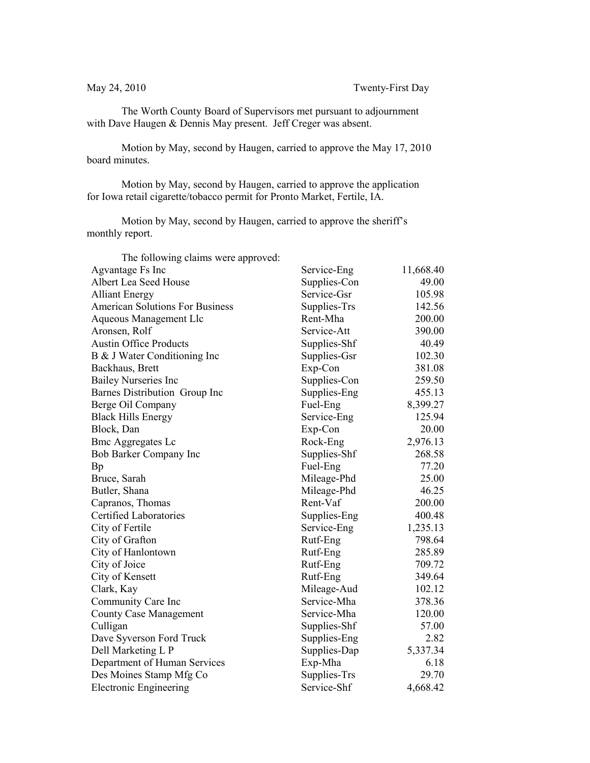The Worth County Board of Supervisors met pursuant to adjournment with Dave Haugen & Dennis May present. Jeff Creger was absent.

Motion by May, second by Haugen, carried to approve the May 17, 2010 board minutes.

Motion by May, second by Haugen, carried to approve the application for Iowa retail cigarette/tobacco permit for Pronto Market, Fertile, IA.

Motion by May, second by Haugen, carried to approve the sheriff's monthly report.

| The following claims were approved:    |              |           |
|----------------------------------------|--------------|-----------|
| Agvantage Fs Inc                       | Service-Eng  | 11,668.40 |
| Albert Lea Seed House                  | Supplies-Con | 49.00     |
| <b>Alliant Energy</b>                  | Service-Gsr  | 105.98    |
| <b>American Solutions For Business</b> | Supplies-Trs | 142.56    |
| Aqueous Management Llc                 | Rent-Mha     | 200.00    |
| Aronsen, Rolf                          | Service-Att  | 390.00    |
| <b>Austin Office Products</b>          | Supplies-Shf | 40.49     |
| B & J Water Conditioning Inc           | Supplies-Gsr | 102.30    |
| Backhaus, Brett                        | Exp-Con      | 381.08    |
| <b>Bailey Nurseries Inc</b>            | Supplies-Con | 259.50    |
| Barnes Distribution Group Inc          | Supplies-Eng | 455.13    |
| Berge Oil Company                      | Fuel-Eng     | 8,399.27  |
| <b>Black Hills Energy</b>              | Service-Eng  | 125.94    |
| Block, Dan                             | Exp-Con      | 20.00     |
| <b>Bmc Aggregates Lc</b>               | Rock-Eng     | 2,976.13  |
| Bob Barker Company Inc                 | Supplies-Shf | 268.58    |
| Bp                                     | Fuel-Eng     | 77.20     |
| Bruce, Sarah                           | Mileage-Phd  | 25.00     |
| Butler, Shana                          | Mileage-Phd  | 46.25     |
| Capranos, Thomas                       | Rent-Vaf     | 200.00    |
| Certified Laboratories                 | Supplies-Eng | 400.48    |
| City of Fertile                        | Service-Eng  | 1,235.13  |
| City of Grafton                        | Rutf-Eng     | 798.64    |
| City of Hanlontown                     | Rutf-Eng     | 285.89    |
| City of Joice                          | Rutf-Eng     | 709.72    |
| City of Kensett                        | Rutf-Eng     | 349.64    |
| Clark, Kay                             | Mileage-Aud  | 102.12    |
| Community Care Inc                     | Service-Mha  | 378.36    |
| <b>County Case Management</b>          | Service-Mha  | 120.00    |
| Culligan                               | Supplies-Shf | 57.00     |
| Dave Syverson Ford Truck               | Supplies-Eng | 2.82      |
| Dell Marketing L P                     | Supplies-Dap | 5,337.34  |
| Department of Human Services           | Exp-Mha      | 6.18      |
| Des Moines Stamp Mfg Co                | Supplies-Trs | 29.70     |
| <b>Electronic Engineering</b>          | Service-Shf  | 4,668.42  |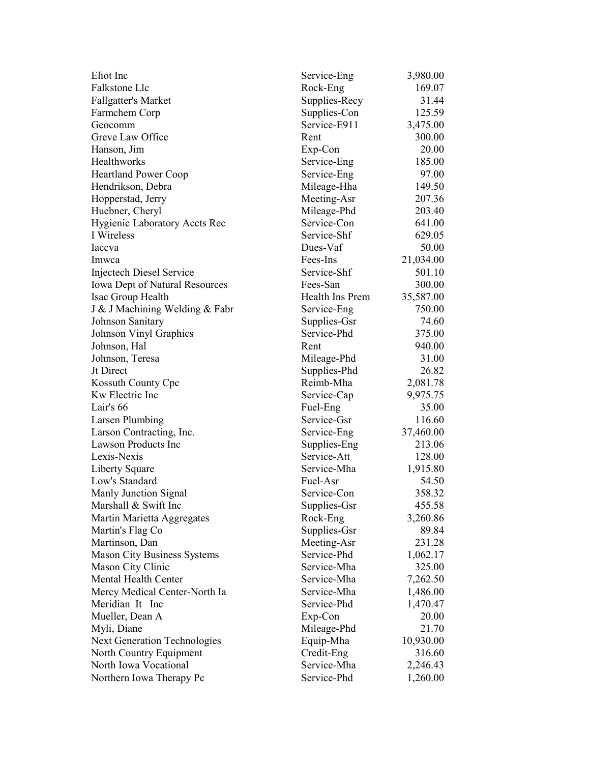| Eliot Inc                             | Service-Eng     | 3,980.00  |
|---------------------------------------|-----------------|-----------|
| Falkstone Llc                         | Rock-Eng        | 169.07    |
| <b>Fallgatter's Market</b>            | Supplies-Recy   | 31.44     |
| Farmchem Corp                         | Supplies-Con    | 125.59    |
| Geocomm                               | Service-E911    | 3,475.00  |
| Greve Law Office                      | Rent            | 300.00    |
| Hanson, Jim                           | Exp-Con         | 20.00     |
| <b>Healthworks</b>                    | Service-Eng     | 185.00    |
| <b>Heartland Power Coop</b>           | Service-Eng     | 97.00     |
| Hendrikson, Debra                     | Mileage-Hha     | 149.50    |
| Hopperstad, Jerry                     | Meeting-Asr     | 207.36    |
| Huebner, Cheryl                       | Mileage-Phd     | 203.40    |
| <b>Hygienic Laboratory Accts Rec</b>  | Service-Con     | 641.00    |
| I Wireless                            | Service-Shf     | 629.05    |
| Iaccva                                | Dues-Vaf        | 50.00     |
| Imwca                                 | Fees-Ins        | 21,034.00 |
| Injectech Diesel Service              | Service-Shf     | 501.10    |
| <b>Iowa Dept of Natural Resources</b> | Fees-San        | 300.00    |
| Isac Group Health                     | Health Ins Prem | 35,587.00 |
| J & J Machining Welding & Fabr        | Service-Eng     | 750.00    |
| Johnson Sanitary                      | Supplies-Gsr    | 74.60     |
| Johnson Vinyl Graphics                | Service-Phd     | 375.00    |
|                                       | Rent            | 940.00    |
| Johnson, Hal                          |                 | 31.00     |
| Johnson, Teresa                       | Mileage-Phd     |           |
| Jt Direct                             | Supplies-Phd    | 26.82     |
| Kossuth County Cpc                    | Reimb-Mha       | 2,081.78  |
| Kw Electric Inc                       | Service-Cap     | 9,975.75  |
| Lair's 66                             | Fuel-Eng        | 35.00     |
| Larsen Plumbing                       | Service-Gsr     | 116.60    |
| Larson Contracting, Inc.              | Service-Eng     | 37,460.00 |
| <b>Lawson Products Inc</b>            | Supplies-Eng    | 213.06    |
| Lexis-Nexis                           | Service-Att     | 128.00    |
| Liberty Square                        | Service-Mha     | 1,915.80  |
| Low's Standard                        | Fuel-Asr        | 54.50     |
| Manly Junction Signal                 | Service-Con     | 358.32    |
| Marshall & Swift Inc                  | Supplies-Gsr    | 455.58    |
| Martin Marietta Aggregates            | Rock-Eng        | 3,260.86  |
| Martin's Flag Co                      | Supplies-Gsr    | 89.84     |
| Martinson, Dan                        | Meeting-Asr     | 231.28    |
| <b>Mason City Business Systems</b>    | Service-Phd     | 1,062.17  |
| Mason City Clinic                     | Service-Mha     | 325.00    |
| Mental Health Center                  | Service-Mha     | 7,262.50  |
| Mercy Medical Center-North Ia         | Service-Mha     | 1,486.00  |
| Meridian It Inc                       | Service-Phd     | 1,470.47  |
| Mueller, Dean A                       | Exp-Con         | 20.00     |
| Myli, Diane                           | Mileage-Phd     | 21.70     |
| <b>Next Generation Technologies</b>   | Equip-Mha       | 10,930.00 |
| North Country Equipment               | Credit-Eng      | 316.60    |
| North Iowa Vocational                 | Service-Mha     | 2,246.43  |
| Northern Iowa Therapy Pc              | Service-Phd     | 1,260.00  |